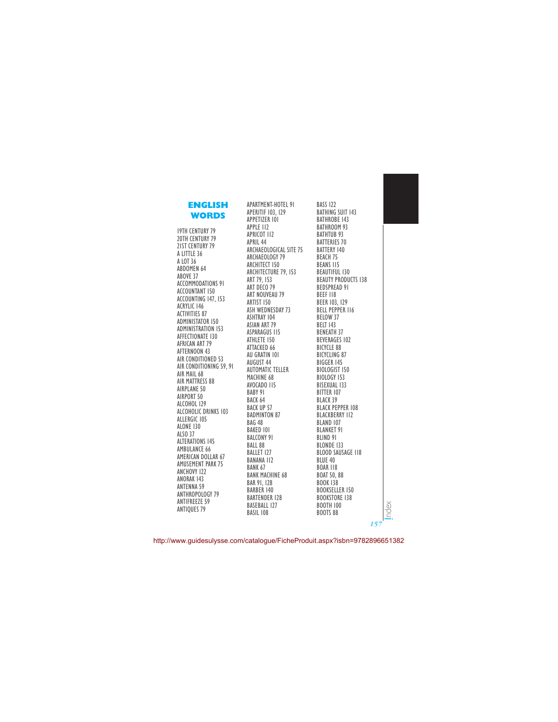## **ENGLISH WORDS**

19TH CENTURY 79 20TH CENTURY 79 21ST CENTURY 79 A LITTLE 36 A LOT 36 ABDOMEN 64 ABOVE 37 ACCOMMODATIONS 91 ACCOUNTANT 150 ACCOUNTING 147, 153 ACRYLIC 146 ACTIVITIES 87 ADMINISTATOR 150 ADMINISTRATION 153 AFFECTIONATE 130 AFRICAN ART 79 AFTERNOON 43 AIR CONDITIONED 53 AIR CONDITIONING 59, 91 AIR MAIL 68 AIR MATTRESS 88 AIRPLANE 50 AIRPORT 50 ALCOHOL 129 ALCOHOLIC DRINKS 103 ALLERGIC 105 ALONE 130 ALSO 37 ALTERATIONS 145 AMBULANCE 66 AMERICAN DOLLAR 67 AMUSEMENT PARK 75 ANCHOVY 122 ANORAK 143 ANTENNA 59 ANTHROPOLOGY 79 ANTIFREEZE 59 ANTIQUES 79

APARTMENT-HOTEL 91 APERITIF 103, 129 APPETIZER 101 APPLE 112 APRICOT 112 APRIL 44 ARCHAEOLOGICAL SITE 75 ARCHAEOLOGY 79 ARCHITECT 150 ARCHITECTURE 79, 153 ART 79, 153 ART DECO 79 ART NOUVEAU 79 ARTIST 150 ASH WEDNESDAY 73 ASHTRAY 104 ASIAN ART 79 ASPARAGUS 115 ATHLETE 150 ATTACKED 66 AU GRATIN 101 AUGUST 44 AUTOMATIC TELLER MACHINE 68 AVOCADO 115 BABY 91 BACK 64 BACK UP 57 BADMINTON 87 BAG 48 BAKED 101 BALCONY 91 BALL 88 BALLET 127 BANANA 112 BANK 67 BANK MACHINE 68 BAR 91, 128 BARBER 140 BARTENDER 128 BASEBALL 127 BASIL 108

BASS 122 BATHING SUIT 143 BATHROBE 143 BATHROOM 93 BATHTUB 93 BATTERIES 70 BATTERY 140 BEACH 75 BEANS 115 BEAUTIFUL 130 BEAUTY PRODUCTS 138 BEDSPREAD 91 BEEF 118 BEER 103, 129 BELL PEPPER 116 BELOW 37 BELT 143 BENEATH 37 BEVERAGES 102 BICYCLE 88 BICYCLING 87 BIGGER 145 BIOLOGIST 150 BIOLOGY 153 BISEXUAL 133 BITTER 107 BLACK 39 BLACK PEPPER 108 BLACKBERRY 112 BLAND 107 BLANKET 91 BLIND 91 BLONDE 133 BLOOD SAUSAGE 118 BLUE 40 BOAR 118 BOAT 50, 88 BOOK 138 BOOKSELLER 150 BOOKSTORE 138 BOOTH 100 BOOTS 88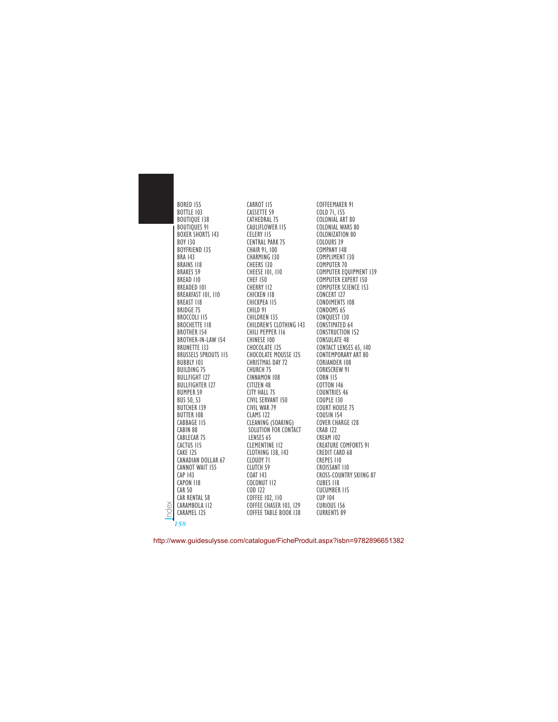BORED 155 BOTTLE 103 BOUTIQUE 138 BOUTIQUES 91 BOXER SHORTS 143 BOY 130 BOYFRIEND 135 BRA 143 BRAINS 118 BRAKES 59 BREAD 110 BREADED 101 BREAKFAST 101, 110 BREAST 118 BRIDGE 75 BROCCOLI 115 BROCHETTE 118 BROTHER 154 BROTHER-IN-LAW 154 BRUNETTE 133 BRUSSELS SPROUTS 115 BUBBLY 103 BUILDING 75 BULLFIGHT 127 BULLFIGHTER 127 BUMPER 59 BUS 50, 53 BUTCHER 139 BUTTER 108 CABBAGE 115 CABIN 88 CABLECAR 75 CACTUS 115 CAKE 125 CANADIAN DOLLAR 67 CANNOT WAIT 155 CAP 143 CAPON 118 CAR 50 CAR RENTAL 58 CARAMBOLA 112 CARAMEL 125

Index *158*

CARROT 115 CASSETTE 59 CATHEDRAL 75 CAULIFLOWER 115 CELERY 115 CENTRAL PARK 75 CHAIR 91, 100 CHARMING 130 CHEERS 130 CHEESE 101, 110 CHEF 150 CHERRY 112 CHICKEN 118 CHICKPEA 115 CHILD 91<br>CHILDREN 135 CHILDREN 135 CHILDREN'S CLOTHING 143 CHILI PEPPER 116 CHINESE 100 CHOCOLATE 125 CHOCOLATE MOUSSE 125 CHRISTMAS DAY 72 CHURCH 75 CINNAMON 108 CITIZEN 48 CITY HALL 75 CIVIL SERVANT 150 CIVIL WAR 79 CLAMS 122 CLEANING (SOAKING) SOLUTION FOR CONTACT LENSES 65 CLEMENTINE 112 CLOTHING 138, 143 CLOUDY 71 CLUTCH 59<br>COAT 143 COAT 143 COCONUT 112 COD 122 COFFEE 102, 110 COFFEE CHASER 103, 129 COFFEE TABLE BOOK 138

COFFEEMAKER 91 COLD 71, 155 COLONIAL ART 80 COLONIAL WARS 80 COLONIZATION 80 COLOURS 39 COMPANY 148 COMPLIMENT 130 COMPUTER 70 COMPUTER EQUIPMENT 139 COMPUTER EXPERT 150 COMPUTER SCIENCE 153 CONCERT 127 CONDIMENTS 108 CONDOMS 65 CONQUEST 130 CONSTIPATED 64 CONSTRUCTION 152 CONSULATE 48 CONTACT LENSES 65, 140 CONTEMPORARY ART 80 CORIANDER 108 CORKSCREW 91 CORN 115 COTTON 146 COUNTRIES 46 COUPLE 130 COURT HOUSE 75 COUSIN 154 COVER CHARGE 128 CRAB 122 CREAM 102 CREATURE COMFORTS 91 CREDIT CARD 68 CREPES 110 CROISSANT 110 CROSS-COUNTRY SKIING 87 CUBES 118 CUCUMBER 115 CUP 104 CURIOUS 156 CURRENTS 89

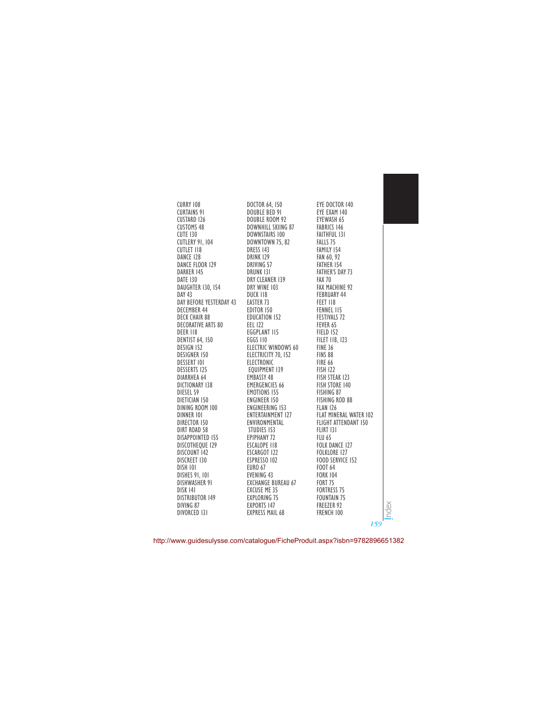| CURRY 108<br>CUSTAIN 9 100 DOUBLE BOD BY DO CTOR 44, 150<br>CUSTAIN 9 100 DOUBLE BOD PY EVE DAN<br>CUSTAIN 126<br>CUSTAIN 126<br>CUSTAIN 126<br>CUTE 130<br>CUTE 130<br>CUTE 130<br>DOWNETINES 100 DOWNITIL SKIING 87<br>CUTE 130<br>DOWNETINES DATE |  |
|------------------------------------------------------------------------------------------------------------------------------------------------------------------------------------------------------------------------------------------------------|--|
|                                                                                                                                                                                                                                                      |  |

CTOR 140 AM 140 SH 65  $S146$ UL 131  $\overline{5}$  $154$  $, 92$ FATHER 154 'S DAY 73 CHINE 92 ARY 44  $8$  $I<sub>15</sub>$ ALS<sub>72</sub> 65  $152$ **18, 123** FINE 36 FINS 88 FIRE 66  $\overline{2}$ **FEAK 123 TORE 140** G 87  $G$  ROD 88  $26$ --<br>INERAL WATER 102 ATTENDANT 150  $\overline{31}$ ANCE 127  $RE$  127 .<br>Food Islam<br>14 FOOT 64  $04$ FORT 75  $\frac{2}{15}$ ain 75 FREEZER 92  $-100$ 

*159*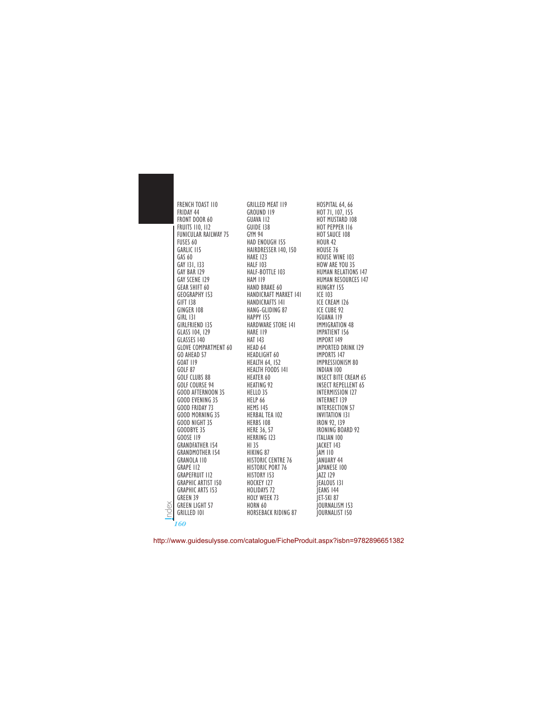FRENCH TOAST 110 FRIDAY 44 FRONT DOOR 60 FRUITS 110, 112 FUNICULAR RAILWAY 75 FUSES 60 GARLIC 115 GAS 60 GAY 131, 133 GAY BAR 129 GAY SCENE 129 GEAR SHIFT 60 GEOGRAPHY 153 GIFT 138 GINGER 108 GIRL 131 GIRLFRIEND 135 GLASS 104, 129 GLASSES 140 GLOVE COMPARTMENT 60 GO AHEAD 57 GOAT 119 GOLF 87 GOLF CLUBS 88 GOLF COURSE 94 GOOD AFTERNOON 35 GOOD EVENING 35 GOOD FRIDAY 73 GOOD MORNING 35 GOOD NIGHT 35 GOODBYE 35 GOOSE 119 GRANDFATHER 154 GRANDMOTHER 154 GRANOLA 110 GRAPE 112 GRAPEFRUIT 112 GRAPHIC ARTIST 150 GRAPHIC ARTS 153 GREEN 39 GREEN LIGHT 57 GRILLED 101

Index *160* GRILLED MEAT 119 GROUND 119 GUAVA 112 GUIDE 138 GYM 94 HAD ENOUGH 155 HAIRDRESSER 140, 150 HAKE 123 HALF 103 HALF-BOTTLE 103 HAM 119 HAND BRAKE 60 HANDICRAFT MARKET 141 HANDICRAFTS 141 HANG-GLIDING 87 HAPPY 155 HARDWARE STORE 141 HARE 119 HAT 143 HEAD 64 HEADLIGHT 60 HEALTH 64, 152 HEALTH FOODS 141 HEATER 60 HEATING 92 HELLO 35 HELP 66 HEMS 145 HERBAL TEA 102 HERBS 108 HERE 36, 57 HERRING 123 HI 35 HIKING 87 HISTORIC CENTRE 76 HISTORIC PORT 76 HISTORY 153 HOCKEY 127 HOLIDAYS 72 HOLY WEEK 73 HORN 60 HORSEBACK RIDING 87

HOSPITAL 64, 66 HOT 71, 107, 155 HOT MUSTARD 108 HOT PEPPER 116 HOT SAUCE 108 HOUR 42 HOUSE 76 HOUSE WINE 103 HOW ARE YOU 35 HUMAN RELATIONS 147 HUMAN RESOURCES 147 HUNGRY 155 ICE 103 ICE CREAM 126 ICE CUBE 92 IGUANA 119 IMMIGRATION 48 IMPATIENT 156 IMPORT 149 IMPORTED DRINK 129 IMPORTS 147 IMPRESSIONISM 80 INDIAN 100 INSECT BITE CREAM 65 INSECT REPELLENT 65 INTERMISSION 127 INTERNET 139 INTERSECTION 57 INVITATION 131 IRON 92, 139 IRONING BOARD 92 ITALIAN 100 JACKET 143 JAM 110 JANUARY 44 JAPANESE 100 JAZZ 129 JEALOUS 131 JEANS 144 JET-SKI 87 JOURNALISM 153 JOURNALIST 150

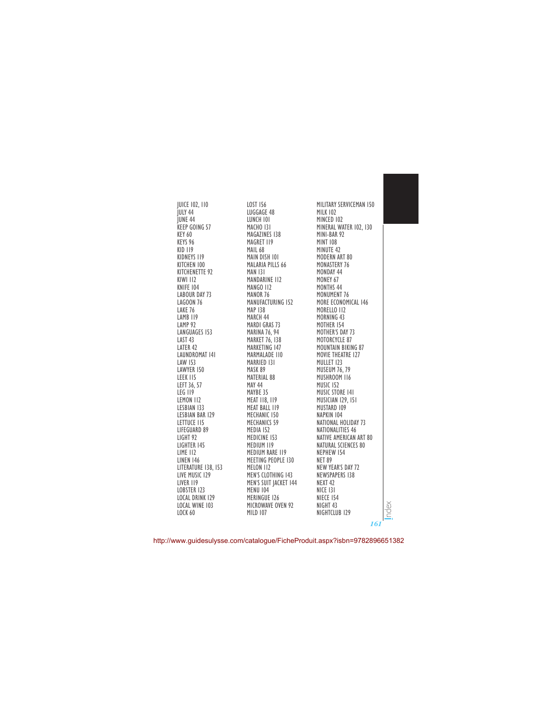JUICE 102, 110 JULY 44 JUNE 44 KEEP GOING 57 KEY 60 KEYS 96 KID 119 KIDNEYS 119 KITCHEN 100 KITCHENETTE 92 KIWI 112 KNIFE 104 LABOUR DAY 73 LAGOON 76 LAKE 76 LAMB 119 LAMP 92 LANGUAGES 153 LAST 43 LATER 42 LAUNDROMAT 141 LAW 153 LAWYER 150 LEEK 115 LEFT 36, 57 LEG 119 LEMON 112 LESBIAN 133 LESBIAN BAR 129 LETTUCE 115 LIFEGUARD 89 LIGHT 92 LIGHTER 145 LIME 112 LINEN 146 LITERATURE 138, 153 LIVE MUSIC 129 LIVER 119 LOBSTER 123 LOCAL DRINK 129 LOCAL WINE 103 LOCK 60

LOST 156 LUGGAGE 48 LUNCH 101 MACHO 131 MAGAZINES 138 MAGRET 119 MAIL 68 MAIN DISH 101 MALARIA PILLS 66 MAN 131 MANDARINE 112 MANGO 112 MANOR 76 MANUFACTURING 152 MAP 138 MARCH 44 MARDI GRAS 73 MARINA 76, 94 MARKET 76, 138 MARKETING 147 MARMALADE 110 MARRIED 131 MASK 89 MATERIAL 88 MAY 44 MAYBE 35 MEAT 118, 119 MEAT BALL 119 MECHANIC 150 MECHANICS 59 MEDIA 152 MEDICINE 153 MEDIUM 119 MEDIUM RARE 119 MEETING PEOPLE 130 MELON 112 MEN'S CLOTHING 143 MEN'S SUIT JACKET 144 MENU 104 MERINGUE 126 MICROWAVE OVEN 92 MILD 107

MILITARY SERVICEMAN 150 MILK 102 MINCED 102 MINERAL WATER 102, 130 MINI-BAR 92 MINT 108 MINUTE 42 MODERN ART 80 MONASTERY 76 MONDAY 44 MONEY 67 MONTHS 44 MONUMENT 76 MORE ECONOMICAL 146 MORELLO 112 MORNING 43 MOTHER 154 MOTHER'S DAY 73 MOTORCYCLE 87 MOUNTAIN BIKING 87 MOVIE THEATRE 127 MULLET 123 MUSEUM 76, 79 MUSHROOM 116 MUSIC 152 MUSIC STORE 141 MUSICIAN 129, 151 MUSTARD 109 NAPKIN 104 NATIONAL HOLIDAY 73 NATIONALITIES 46 NATIVE AMERICAN ART 80 NATURAL SCIENCES 80 NEPHEW 154 NET 89 NEW YEAR'S DAY 72 NEWSPAPERS 138 NEXT 42 NICE 131 NIECE 154 NIGHT 43 NIGHTCLUB 129

*161*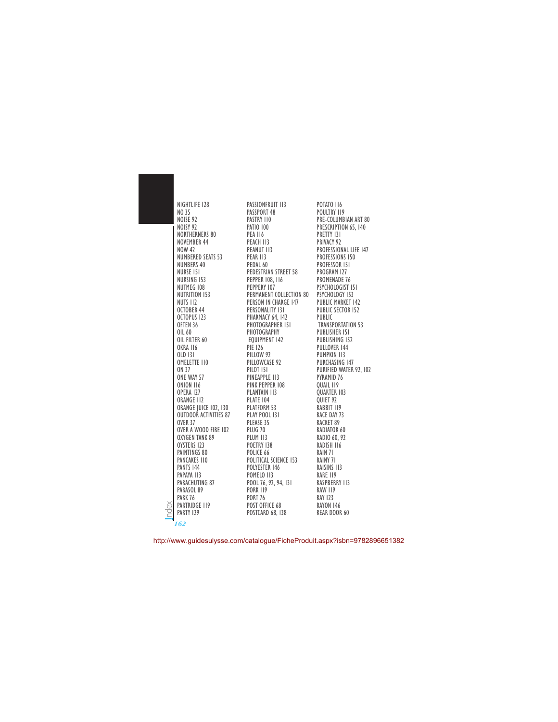NIGHTLIFE 128 NO 35 NOISE 92 NOISY 92 NORTHERNERS 80 NOVEMBER 44 NOW 42 NUMBERED SEATS 53 NUMBERS 40 NURSE 151 NURSING 153 NUTMEG 108 NUTRITION 153 NUTS 112 OCTOBER 44 OCTOPUS 123 OFTEN 36 OIL 60 OIL FILTER 60 OKRA 116 OLD 131 OMELETTE 110 ON 37 ONE WAY 57 ONION 116 OPERA 127 ORANGE 112 ORANGE JUICE 102, 130 OUTDOOR ACTIVITIES 87 OVER 37 OVER A WOOD FIRE 102 OXYGEN TANK 89 OYSTERS 123 PAINTINGS 80 PANCAKES 110 PANTS 144 PAPAYA 113 PARACHUTING 87 PARASOL 89 PARK 76 PARTRIDGE 119 PARTY 129 Index

*162*

PASSIONFRUIT 113 PASSPORT 48 PASTRY 110 PATIO 100 PEA 116 PEACH 113 PEANUT 113 PEAR 113 PEDAL 60 PEDESTRIAN STREET 58 PEPPER 108, 116 PEPPERY 107 PERMANENT COLLECTION 80 PERSON IN CHARGE 147 PERSONALITY 131 PHARMACY 64, 142 PHOTOGRAPHER 151 PHOTOGRAPHY EQUIPMENT 142 PIE 126 PILLOW 92 PILLOWCASE 92 PILOT 151 PINEAPPLE 113 PINK PEPPER 108 PLANTAIN 113 PLATE 104 PLATFORM 53 PLAY POOL 131 PLEASE 35 PLUG 70 PLUM 113 POETRY 138 POLICE 66 POLITICAL SCIENCE 153 POLYESTER 146 POMELO 113 POOL 76, 92, 94, 131 PORK 119 PORT 76 POST OFFICE 68 POSTCARD 68, 138

POTATO 116 POULTRY 119 PRE-COLUMBIAN ART 80 PRESCRIPTION 65, 140 PRETTY 131 PRIVACY 92 PROFESSIONAL LIFE 147 PROFESSIONS 150 PROFESSOR 151 PROGRAM 127 PROMENADE 76 PSYCHOLOGIST 151 PSYCHOLOGY 153 PUBLIC MARKET 142 PUBLIC SECTOR 152 PUBLIC TRANSPORTATION 53 PUBLISHER 151 PUBLISHING 152 PULLOVER 144 PUMPKIN 113 PURCHASING 147 PURIFIED WATER 92, 102 PYRAMID 76 QUAIL 119 QUARTER 103 QUIET 92 RABBIT 119 RACE DAY 73 RACKET 89 RADIATOR 60 RADIO 60, 92 RADISH 116 RAIN 71 RAINY 71 RAISINS 113 RARE 119 RASPBERRY 113 RAW 119 RAY 123 RAYON 146 REAR DOOR 60

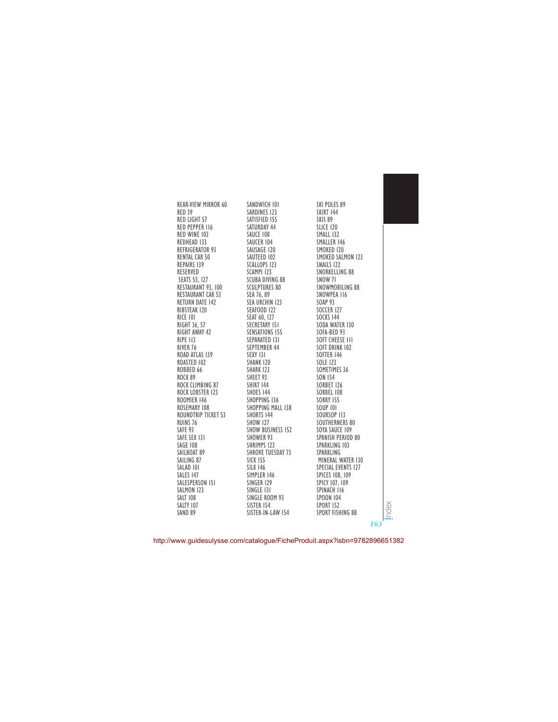|  | REAR-WIENDRIG 60<br>RED JOHN 157<br>RED JOHN 1761<br>RED JOHN 1761<br>RED JOHN 1757<br>RED DIGHT 57<br>RED DIGHT 57<br>RED DIGHT 57<br>SARDINES 123<br>SARDINES 123<br>SARDINES 123<br>SARULE 108<br>REMALE (108<br>REMARCE RATOR 93<br>SARULER OF SARULER |  |
|--|------------------------------------------------------------------------------------------------------------------------------------------------------------------------------------------------------------------------------------------------------------|--|
|  |                                                                                                                                                                                                                                                            |  |
|  |                                                                                                                                                                                                                                                            |  |
|  |                                                                                                                                                                                                                                                            |  |
|  |                                                                                                                                                                                                                                                            |  |

*163*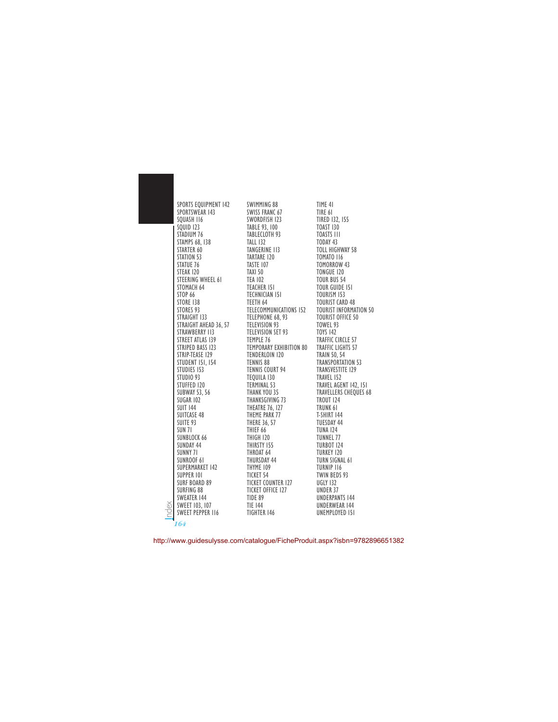SPORTS EQUIPMENT 142 SPORTSWEAR 143 SQUASH 116 SQUID 123 STADIUM 76 STAMPS 68, 138 STARTER 60 STATION 53 STATUE 76 STEAK 120 STEERING WHEEL 61 STOMACH 64 STOP 66 STORE 138 STORES 93 STRAIGHT 133 STRAIGHT AHEAD 36, 57 STRAWBERRY 113 STREET ATLAS 139 STRIPED BASS 123 STRIP-TEASE 129 STUDENT 151, 154 STUDIES 153 STUDIO 93 STUFFED 120 SUBWAY 53, 56 SUGAR 102 SUIT 144 SUITCASE 48 SUITE 93 SUN 71 SUNBLOCK 66 SUNDAY 44 SUNNY 71 SUNROOF 61 SUPERMARKET 142 SUPPER 101 SURF BOARD 89 SURFING 88 SWEATER 144 SWEET 103, 107 SWEET PEPPER 116

SWIMMING 88 SWISS FRANC 67 SWORDFISH 123 TABLE 93, 100 TABLECLOTH 93 TALL 132 TANGERINE 113 TARTARE 120 TASTE 107 TAXI 50 TEA 102 TEACHER 151 TECHNICIAN 151 TEETH 64 TELECOMMUNICATIONS 152 TELEPHONE 68, 93 TELEVISION 93 TELEVISION SET 93 TEMPLE 76 TEMPORARY EXHIBITION 80 TENDERLOIN 120 TENNIS 88 TENNIS COURT 94 TEQUILA 130 TERMINAL 53 THANK YOU 35 THANKSGIVING 73 THEATRE 76, 127 THEME PARK 77 THERE 36, 57 THIEF 66 THIGH 120 THIRSTY 155 THROAT 64 THURSDAY 44 THYME 109 TICKET 54 TICKET COUNTER 127 TICKET OFFICE 127 TIDE 89 TIE 144 TIGHTER 146

TIME 41 TIRE 61 TIRED 132, 155 TOAST 130 TOASTS 111 TODAY 43 TOLL HIGHWAY 58 TOMATO 116 TOMORROW 43 TONGUE 120 TOUR BUS 54 TOUR GUIDE 151 TOURISM 153 TOURIST CARD 48 TOURIST INFORMATION 50 TOURIST OFFICE 50 TOWEL 93 TOYS 142 TRAFFIC CIRCLE 57 TRAFFIC LIGHTS 57 TRAIN 50, 54 TRANSPORTATION 53 TRANSVESTITE 129 TRAVEL 152 TRAVEL AGENT 142, 151 TRAVELLERS CHEQUES 68 TROUT 124 TRUNK 61 T-SHIRT 144 TUESDAY 44 TUNA 124 TUNNEL 77 TURBOT 124 TURKEY 120 TURN SIGNAL 61 TURNIP 116 TWIN BEDS 93 UGLY 132 UNDER 37 UNDERPANTS 144 UNDERWEAR 144 UNEMPLOYED 151

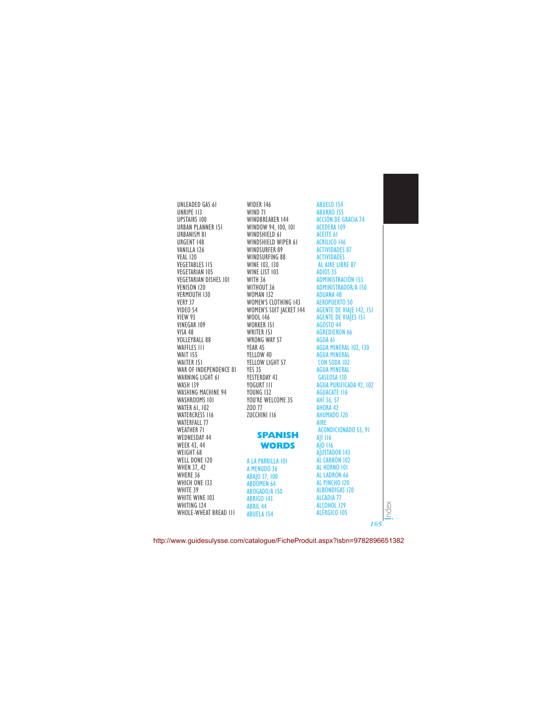UNLEADED GAS 61 UNRIPE 113 UPSTAIRS 100 URBAN PLANNER 151 URBANISM 81 URGENT 148 VANILLA 126 VEAL 120 VEGETABLES 115 VEGETARIAN 105 VEGETARIAN DISHES 101 VENISON 120 VERMOUTH 130 VERY 37 VIDEO 54 VIEW 93 VINEGAR 109 VISA 48 VOLLEYBALL 88 WAFFLES 111 WAIT 155 WAITER 151 WAR OF INDEPENDENCE 81 WARNING LIGHT 61 WASH 139 WASHING MACHINE 94 WASHROOMS 101 WATER 61, 102 WATERCRESS 116 WATERFALL 77 WEATHER 71 WEDNESDAY 44 WEEK 43, 44<br>WEIGHT 68 WEIGHT 68 WELL DONE 120 WHEN 37, 42 WHERE 36 WHICH ONE 133 WHITE 39 WHITE WINE 103 WHITING 124 WHOLE-WHEAT BREAD 111

WIDER 146 WIND 71 WINDBREAKER 144 WINDOW 94, 100, 101 WINDSHIELD 61 WINDSHIELD WIPER 61 WINDSURFER 89 WINDSURFING 88 WINE 103, 130 WINE LIST 103 WITH 36 WITHOUT 36 WOMAN 132 WOMEN'S CLOTHING 143 WOMEN'S SUIT JACKET 144 WOOL 146 WORKER 151 WRITER 151 WRONG WAY 57 YEAR 45 YELLOW 40 YELLOW LIGHT 57 YES 35 YESTERDAY 43 YOGURT 111 YOUNG 132 YOU'RE WELCOME 35 ZOO 77 ZUCCHINI 116

## **SPANISH WORDS**

A LA PARRILLA 101 A MENUDO 36 ABAJO 37, 100 ABDOMEN 64 ABOGADO/A 150 ABRIGO 143 ABRIL 44 ABUELA 154

ABUELO 154 ABURRO 155 ACCIÓN DE GRACIA 74 ACEDERA 109 ACEITE 61 ACRÍLICO 146 ACTIVIDADES 87 ACTIVIDADES AL AIRE LIBRE 87 ADIOS 35 ADMINISTRACIÓN 153 ADMINISTRADOR/A 150 ADUANA 48 AEROPUERTO 50 AGENTE DE VIAJE 142, 151 AGENTE DE VIAJES 151 AGOSTO 44 AGREDIERON 66 AGUA 61 AGUA MINERAL 102, 130 AGUA MINERAL CON SODA 102 AGUA MINERAL GASEOSA 130 AGUA PURIFICADA 92, 102 AGUACATE 116 AHÍ 36, 57 AHORA 42 AHUMADO 120 AIRE ACONDICIONADO 53, 91 AJÍ 116 AĴO 116<br>AIUSTADOR 143 AJUSTADOR 143 AL CARBÓN 102 AL HORNO 101 AL LADRÓN 66 AL PINCHO 120 ALBÓNDIGAS 120 ALCADIA 77 ALCOHOL 129 ALÉRGICO 105

*165*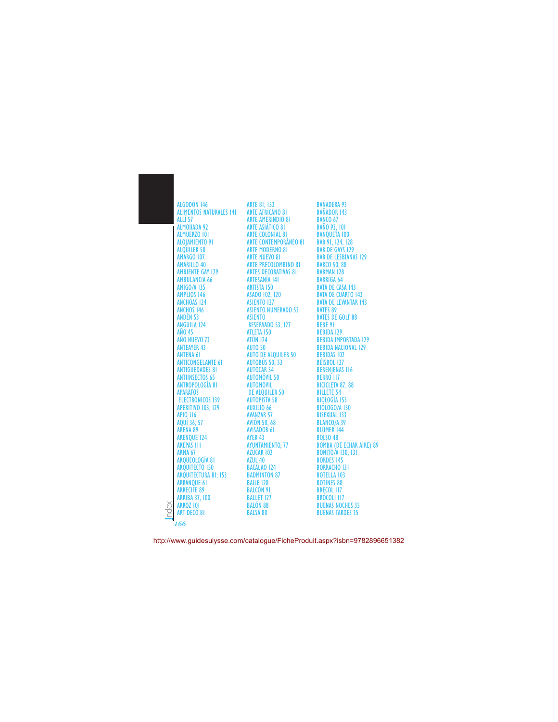ALGODÓN 146 ALIMENTOS NATURALES 141 ALLÍ 57 ALMOHADA 92 ALMUERZO 101 ALOJAMIENTO 91 ALQUILER 58 AMARGO 107 AMARILLO 40 AMBIENTE GAY 129 AMBULANCIA 66 AMIGO/A 135 AMPLIOS 146 ANCHOAS 124 ANCHOS 146 ANDÉN 53 ANGUILA 124 A<u>n</u>o 45 AÑO NUEVO 73 ANTEAYER 43 ANTENA 61 ANTICONGELANTE 61 ANTIGÜEDADES 81 ANTIINSECTOS 65 ANTROPOLOGÍA 81 APARATOS ELECTRÓNICOS 139 APERITIVO 103, 129 APIO 116 AQUÍ 36, 57 ARENA 89 ARENQUE 124 AREPAS 111 ARMA 67 ARQUEOLOGÍA 81 ARQUITECTO 150 ARQUITECTURA 81, 153 ARRANQUE 61 ARRECIFE 89 ARRIBA 37, 100 ARROZ 101 ART DECÓ 81 *166*

Index

ARTE 81, 153 ARTE AFRICANO 81 ARTE AMERINDIO 81 ARTE ASIÁTICO 81 ARTE COLONIAL 81 ARTE CONTEMPORÁNEO 81 ARTE MODERNO 81 ARTE NUEVO 81 ARTE PRECOLOMBINO 81 ARTES DECORATIVAS 81 ARTESANÍA 141 ARTISTA 150 ASADO 102, 120 ASIENTO 127 ASIENTO NUMERADO 53 ASIENTO RESERVADO 53, 127 ATLETA 150 ATÚN 124 AUTO 50 AUTO DE ALQUILER 50 AUTOBÚS 50, 53 AUTOCAR 54 AUTOMÓVIL 50 AUTOMÓ<mark>V</mark>IL DE ALQUILER 50 AUTOPISTA 58 AUXILIO 66 AVANZAR 57 AVIÓN 50, 68 AVISADOR 61 AYER 43 AYUNTAMIENTO, 77 AZÚCAR 102 AZUL 40 BACALAO 124 BADMINTON 87 BAILE<sub>,</sub> 128 BALCÓN 91 BALL<sub>ET</sub> 127 BALÓN 88 BALSA 88

BAÑADERA 93 BAÑADOR 143 BANCO 67 BAÑO 93, 101 BANQUETA 100 BAR 91, 124, 128 BAR DE GAYS 129 BAR DE LESBIANAS 129 BARCO 50, 88 BARMAN 128 BARRIGA 64 BATA DE CASA 143 BATA DE CUARTO 143 BATA DE LEVANTAR 143 BATES 89 BATES DE GOLF 88 BEBÉ 91 BEBIDA 129 BEBIDA IMPORTADA 129 BEBIDA NACIONAL 129 BEBIDAS 102 **BÉISBOL 127** BERENJENAS 116 BERRO 117 BICICLETA 87, 88 **BILLETE 54** BIOLOGÍA 153 BIÓLOGO/A 150 BISEXUAL 133 BLANCO/A 39 BLÚMER 144 BOLSO 48 BOMBA (DE ECHAR AIRE) 89 BONITO/A 130, 131 BORDES 145 BORRACHO 131 BOTELLA 103 BOTINES 88 BRÉCOL 117 BRÓCOLI 117 BUENAS NOCHES 35 BUENAS TARDES 35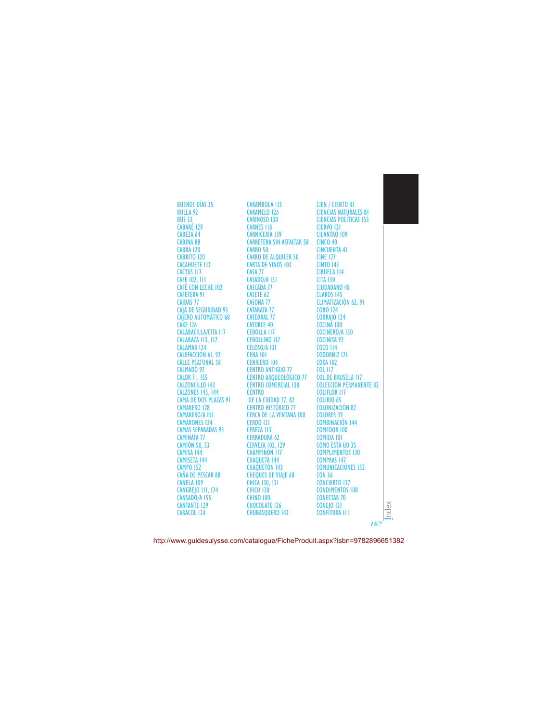BUENOS DÍAS 35 BULLA 92 BUS 53 CABARÉ 129 CABEZA 64 CABINA 88 CABRA 120 CABRITO 120 CACAHUETE 113 CACTUS 117 CAFÉ 102, 111 CAFÉ CON LECHE 102 CAFETERA 91 CAIDAS 77 CAJA DE SEGURIDAD 93 CAJERO AUTOMÁTICO 68 CAKE 126 CALABACILLA/CITA 117 CALABAZA 113, 117 CALAMAR 124 CALEFACCIÓN 61, 92 CALLE PEATONAL 58 CALMADO 97 CALOR 71, 155 CALZONCILLO 143 CALZONES 143, 144 CAMA DE DOS PLAZAS 91 CAMARERO 128 CAMARERO/A 151 CAMARONES 124 CAMAS SEPARADAS 93 CAMINATA 77 CAMIÓN 50, 53 CAMISA 144 CAMISETA 144 **CAMPO 152** CAÑA DE PESCAR 88 CANELA 109 **CANGREIO 111, 124** CANSADO/A 155 CANTANTE 129 CARACOL 124

CARAMBOLA 113 CARAMELO 126 CARIÑOSO 130 CARNES 118 CARNICERÍA 139 CARRETERA SIN ASFALTAR 58 CARRO 50 CARRO DE ALQUILER 50 CARTA DE VINOS 103 CASA 77 CASADO/A 131 CASCADA 77 CASETE 62 CASONA 77 CATARATA 77 CATEDRAL 77 CATORCE 40 CEBOLLA 117 CEBOLLINO 117 CELOSO/A 131 CENA 101 CENICERO 104 CENTRO ANTIGUO 77 CENTRO ARQUEOLÓGICO 77 CENTRO COMERCIAL 138 **CENTRO** DE LA CIUDAD 77, 82 CENTRO HISTÓRICO 77 CERCA DE LA VENTANA 100 CERDO 121 CEREZA 113 CERRADURA 62 CERVEZA 103, 129 CHAMPIÑÓN 117 CHAQUETA 144 CHAQUETÓN 143 CHEQUES DE VIAIE 68 CHICA 130, 131 CHICO 130 **CHINO 100** CHOCOLATE 126 CHUBASQUERO 143

CIEN / CIENTO 41 CIENCIAS NATURALES 81 CIENCIAS POLÍTICAS 153 CIERVO 121 CILANTRO 109 CINCO 40 CINCUENTA 41 CINE 127 CINTO 143 CIRUELA 114 CITA 130 CIUDADANO 48 CLAROS 145 CLIMATIZACIÓN 62, 91 COBO 124 COBRAJO 124 COCINA 100 COCINERO/A 150 COCINITA 92 COCO 114 CODORNIZ 121 **COKA 102** COL 117 COL DE BRUSELA 117 COLECCIÓN PERMANENTE 82 COLIFLOR 117 COLIRIO 65 COLONIZACIÓN 82 COLORES 39 COMBINACIÓN 144 COMEDOR 100 COMIDA 101 CÓMO ESTÁ UD 35 COMPLIMENTOS 130 COMPRAS 147 COMUNICACIÓNES 152 CON 36 CONCIERTO 127 CONDIMENTOS 108 CONECTAR 70 **CONEIO 121** CONFITURA 111 *167*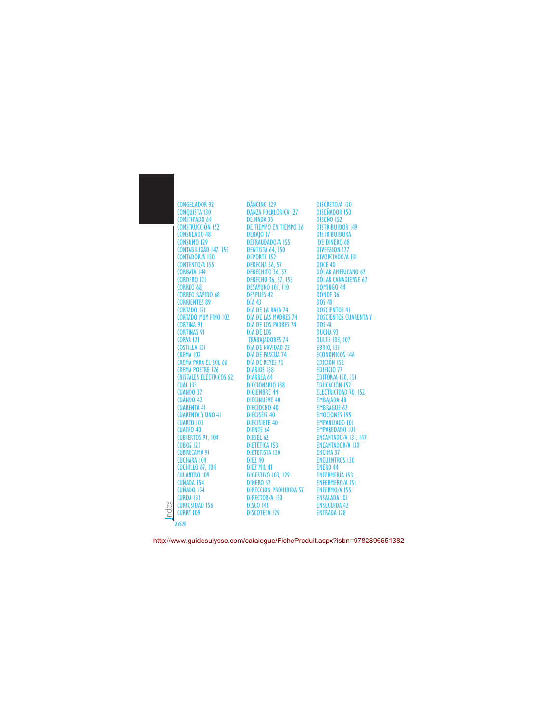CONGELADOR 92 CONQUISTA 130 CONSTIPADO 64 CONSTRUCCIÓN 152 CONSULADO 48 CONSUMO 129 CONTABILIDAD 147, 153 CONTADOR/A 150 CONTENTO/A 155 CORBATA 144 CORDERO 121 CORREO 68 CORREO RÁPIDO 68 CORRIENTES 89 CORTADO 121 CORTADO MUY FINO 102 CORTINA 91 CORTINAS 91 CORVA 121 COSTILLA 121 CREMA 102 CREMA PARA EL SOL 66 CREMA POSTRE 126 CRISTALES ELÉCTRICOS 62 CUÁL 133 CUANDO 37 CUÁNDO 42 CUARENTA 41 CUARENTA Y UNO 41 CUARTO 103 CUATRO 40 CUBIERTOS 91, 104 CUBOS 121 CUBRECAMA 91 CUCHARA 104 CUCHILLO 67, 104 CULANTRO 109 CUÑADA 154 CUNADO 154 CURDA 131 CURIOSIDAD 156 CURRY 109 *168*

Index

DÁNCING 129 DANZA FOLKLÓRICA 127 DE NADA 35 DE TIEMPO EN TIEMPO 36 DEBAJO 37 DEFRAUDADO/A 155 DENTISTA 64, 150 DEPORTE 152 DERECHA 36, 57 DERECHITO 36, 57 DERECHO 36, 57, 153 DESAYUNO 101, 110 DESPUÉS 42 DÍA 43 DÍA DE LA RAZA 74 DÍA DE LAS MADRES 74 DÍA DE LOS PADRES 74 DÍA DE LOS TRABAJADORES 74 DÍA DE NAVIDAD 73 DÍA DE PASCUA 74 DÍA DE REYES 73 DIARIOS 138 DIARREA 64 DICCIONARIO 138 DICIEMBRE 44 DIECINUEVE 40 DIECIOCHO 40 DIECISÉIS 40 DIECISIETE 40 DIENTE 64 DIESEL 62 DIETÉTICA 153 DIETETISTA 150 DIEZ 40 DIEZ MIL 41 DIGESTIVO 103, 129 DINERO 67 DIRECCIÓN PROHIBIDA 57 DIRECTOR/A 150 DISCO 141 DISCOTECA 129

DISCRETO/A 130 DISEÑADOR 150 DISENO 152 DISTRIBUIDOR 149 DISTRIBUIDORA DE DINERO 68 DIVERSIÓN 127 DIVORCIADO/A 131 DOCE 40 DỌLAR AMERICANO 67 DÓLAR CANADIENSE 67 DOMINGO 44 DÓNDE 36 DOS 40 DOSCIENTOS 41 DOSCIENTOS CUARENTA Y DOS 41 DUCHA 93 DULCE 103, 107 EBRIO, 131 ECONÓMICOS 146 EDICIÓN 152 EDIFICIO 77 EDITOR/A 150, 151 EDUCACIÓN 152 ELECTRICIDAD 70, 152 EMBAJADA 48 EMBRAGUE 62 EMOCIONES 155 EMPANIZADO 101 EMPAREDADO 101 ENCANTADO/A 131, 147 ENCANTADOR/A 130 ENCIMA 37 ENCUENTROS 130 ENERO 44 ENFERMERÍA 153 ENFERMERO/A 151 ENFERMO/A 155 ENSALADA 101 ENSEGUIDA 42 ENTRADA 128

http://www.guidesulysse.com/catalogue/FicheProduit.aspx?isbn=9782896651382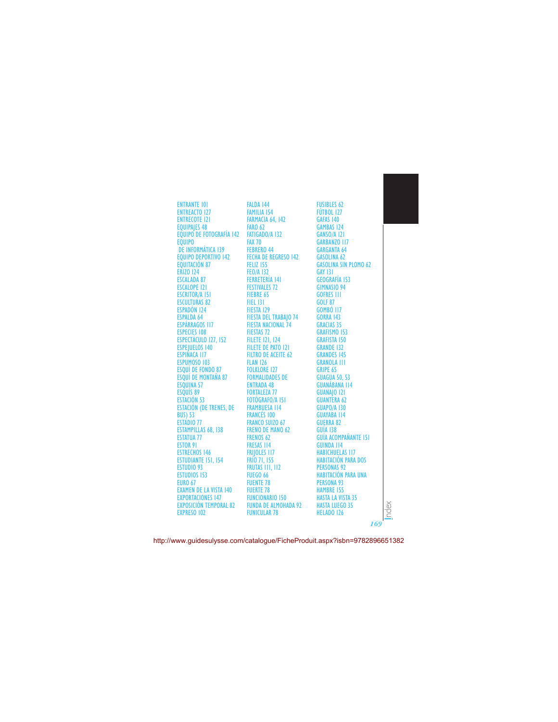| <b>ENTRANTE 101</b>                                  |
|------------------------------------------------------|
| <b>ENTREACTO 127</b>                                 |
| <b>ENTRECOTE 121</b>                                 |
| <b>EQUIPAJES 48</b>                                  |
| <b>EQUIPO DE FOTOGRAFÍA 142</b>                      |
| <b>EOUIPO</b>                                        |
| <b>DE INFORMÁTICA 139</b>                            |
| <b>EQUIPO DEPORTIVO 142</b>                          |
| <b>EQUITACIÓN 87</b>                                 |
| <b>ERIZO 124</b>                                     |
| <b>ESCALADA 87</b>                                   |
| <b>ESCALOPE 121</b>                                  |
| <b>ESCRITOR/A 151</b>                                |
| <b>ESCULTURAS 82</b>                                 |
| ESPADÓN 124                                          |
| <b>ESPALDA 64</b>                                    |
| <b>ESPÁRRAGOS 117</b>                                |
| <b>ESPECIES 108</b>                                  |
| ESPECTÁCULO 127, 152                                 |
| <b>ESPEJUELOS 140</b>                                |
| <b>ESPINACA 117</b>                                  |
| ESPUMOSO 103                                         |
| <b>ESQUÍ DE FONDO 87</b>                             |
| <b>ESQUÍ DE MONTAÑA 87</b>                           |
| <b>ESOUINA 57</b>                                    |
|                                                      |
| <b>ESQUÍS 89</b>                                     |
| <b>ESTACIÓN 53</b><br><b>ESTACIÓN (DE TRENES, DE</b> |
| <b>BUS) 53</b>                                       |
|                                                      |
| <b>ESTADIO 77</b>                                    |
| <b>ESTAMPILLAS 68, 138</b>                           |
| <b>ESTATUA 77</b>                                    |
| <b>ESTOR 91</b>                                      |
| <b>ESTRECHOS 146</b>                                 |
| <b>ESTUDIANTE 151, 154</b>                           |
| <b>ESTUDIO 93</b>                                    |
| <b>ESTUDIOS 153</b>                                  |
| <b>EURO 67</b>                                       |
| <b>EXAMEN DE LA VISTA 140</b>                        |
| <b>EXPORTACIONES 147</b>                             |
| <b>EXPOSICIÓN TEMPORAL 82</b>                        |
| <b>EXPRESO 102</b>                                   |

FALDA 144 FAMILIA 154 FARMACIA 64, 142 FARO 62 FATIGADO/A 132 FAX 70 FEBRERO 44 FECHA DE REGRESO 142 FELIZ 155 FEO/A 132 FERRETERÍA 141 FESTIVALES 72 FIEBRE 65 FIEL 131 FIESTA 129 FIESTA DEL TRABAJO 74 FIESTA NACIONAL 74 FIESTAS 72 FILETE 121, 124 FILETE DE PATO 121 FILTRO DE ACEITE 62 FLAN 126 FOLKLORE 127 FORMALIDADES DE ENTRADA 48 FORTALEZA 77 FOTÓGRAFO/A 151 FRAMBUESA 114 FRANCÉS 100 FRANCO SUITO 67 FRENO DE MANO 62 **FRENOS 62** FRESAS 114 FRIJOLES 117 FRÍO 71, 155 FRUTAS 111, 112 FUEGO 66 FUENTE 78 FUERTE 78 FUNCIONARIO 150 FUNDA DE ALMOHADA 92 FUNICULAR 78

FUSIBLES 62 FÚTBOL 127 GAFAS 140 GAMBAS 124 GANSO/A 121 GARBANZO 117 GARGANTA 64 GASOLINA 62 GASOLINA SIN PLOMO 62 GAY 131 GEOGRAFÍA 153 GIMNASIO 94 GOFRES 111 GOLF 87 GOMBÓ 117 GORRA 143 GRACIAS 35 GRAFISMO 153 GRAFISTA 150 GRANDE 132 GRANDES 145 GRANOLA 111 GRIPE 65 GUAGUA 50, 53 GUANÁBANA 114 GUANAJO 121 **GUIANTERA 62** GUAPO/A 130 GUAYABA 114 GUERRA 82 GUÍA 138 GUÍA ACOMPAÑANTE 151 GUINDA 114 HABICHUELAS 117 HABITACIÓN PARA DOS PERSONAS 92 HABITACIÓN PARA UNA PERSONA 93 HAMBRE 155 HASTA LA VISTA 35 HASTA LUEGO 35 HELADO 126

*169*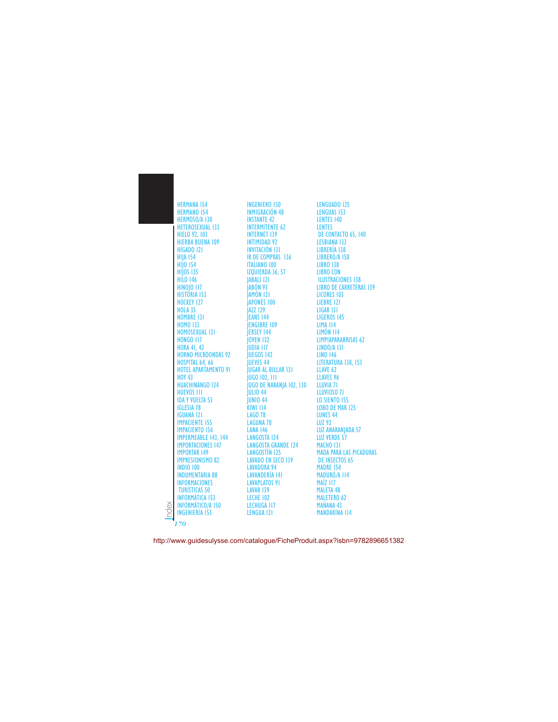HERMANA 154 HERMANO 154 HERMOSO/A 130 HETEROSEXUAL 133 HIELO 92, 103 HIERBA BUENA 109 HÍGADO 121 HIJA 154 HIJO 154 HIJOS 135 HILO 146 HINOJO 117 HISTORIA 153 HOCKEY 127 HOLA 35 HOMBRE 131 HOMO 133 HOMOSEXUAL 131 HONGO 117 HORA 41, 42 HORNO MICROONDAS 92 HOSPITAL 64, 66 HOTEL APARTAMENTO 91 HOY 43 HUACHINANGO 124 HUEVOS 111 IDA Y VUELTA 53 IGLESIA 78<br>IGUANA 121 IGUANA 121 IMPACIENTE 155 IMPACIENTO 156 IMPERMEABLE 143, 144 LANGOSTA 124 IMPORTACIONES 147 IMPORTAR 149 IMPRESIONISMO 82 INDIO 100 INDUMENTARIA 88 **INFORMACIONES** TURÍSTICAS 50 INFORMÁTICA 153 INFORMÁTICO/A 150 INGENIERÍA 153 Index *170*

INGENIERO 150 INMIGRACIÓN 48 INSTANTE 42 INTERMITENTE 62 INTERNET 139<br>INTIMIDAD 92 INTIMIDAD 92 INVITACIÓN 131 IR DE COMPRAS 136 ITALIANO 100 IZQUIERDA 36, 57 JABALÍ 121 JABÓN 93 JAMÓN 121 JAPONÉS 100 JAZZ 129 JEANS 144 JENGIBRE 109 JERSEY 144 JOVEN 132 JUDÍA 117 JUEGOS 142 JUEVES 44 JUGAR AL BILLAR 131 JUGO 102, 111 JUGO DE NARANJA 102, 130 JULIO 44 JUNIO 44 KIWI 114 LAGO 78 LAGUNA 78 LANA 146 LANGOSTA GRANDE 124 LANGOSTÍN 125 LAVADO EN SECO 139 LAVADORA 94 LAVANDERÍA 141 LAVAPLATOS 91 LAVAR 139 LECHE 102 LECHUGA 117 LENGUA 121

LENGUADO 125 LENGUAS 153 LENTES 140 LENTES DE CONTACTO 65, 140 LESBIANA 133 LIBRERÍA 138 LIBRERO/A 150 LIBRO 138 LIBRO CON ILUSTRACIONES 138 LIBRO DE CARRETERAS 139 LICORES 103 LIEBRE 121 LIGAR 131 LIGEROS 145 LIMA 114 LIMÓN 114 LIMPIAPARABRISAS 62 LINDO/A 131 LINO 146 LITERATURA 138, 153 LLAVE 62 LLAVES 96 LLUVIA 71 LLUVIOSO 71 LO SIENTO 155 LOBO DE MAR 125 LUNES 44 LUZ 92 LUZ ANARANJADA 57 **LUZ VERDE 57** MACHO 131 MADA PARA LAS PICADURAS DE INSECTOS 65 MADRE 154 MADURO/A 114 **MAÍZ 117** MAI FTA 48 MALETERO 62 MAÑANA 43 MANDARINA 114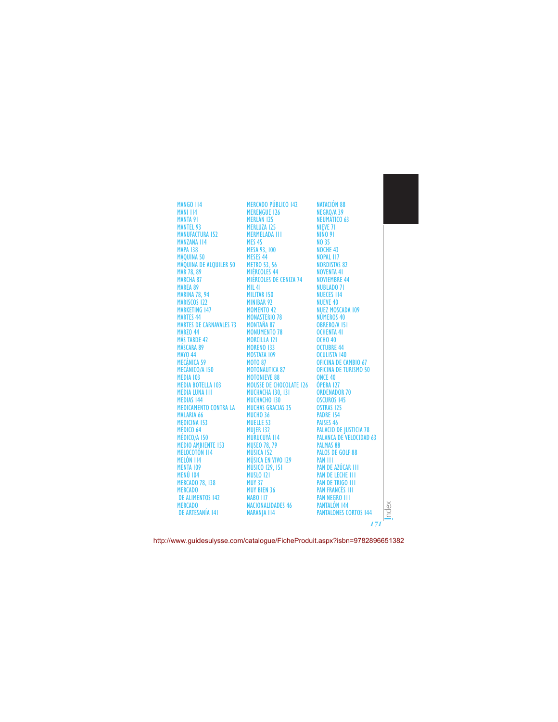MANGO 114 MANI 114 MANTA 91 MANTEL 93 MANUFACTURA 152 MANZANA 114 MAPA 138 MÁQUINA 50 MÁQUINA DE ALQUILER 50 MAR 78, 89 MARCHA 87 MAREA 89 MARINA 78, 94 MARISCOS 122 MARKETING 147 MARTES 44 MARTES DE CARNAVALES 73 MARZO 44 MÁS TARDE 42 MÁSCARA 89 MAYO 44 MECÁNICA 59 MECÁNICO/A 150 MEDIA 103 MEDIA BOTELLA 103 MEDIA LUNA 111 MEDIAS 144 MEDICAMENTO CONTRA LA MALARIA 66 MEDICINA 153 MÉDICO 64 MÉDICO/A 150 MEDIO AMBIENTE 153 MELOCOTÓN 114 MELÓN 114 MENTA 109 MENÚ 104 MERCADO 78, 138 MERCADO DE ALIMENTOS 142 MERCADO DE ARTESANÍA 141

MERCADO PÚBLICO 142 MERENGUE 126 MERLÁN 125 MERLUZA 125 MERMELADA 111 MES 45 MESA 93, 100 MESES 44 METRO 53, 56 MIÉRCOLES 44 MIÉRCOLES DE CENIZA 74 MIL 41 MILITAR 150 MINIBAR 92 MOMENTO 42 MONASTERIO 78 MONTANA 87 MONUMENTO 78 MORCILLA 121 MORENO 133 MOSTAZA 109 MOTO 87 MOTONÁUTICA 87 MOTONIEVE 88 MOUSSE DE CHOCOLATE 126 MUCHACHA 130, 131 MUCHACHO 130 MUCHAS GRACIAS 35 MUCHO 36 MUELLE 53 MUJER 132 MURUCUYÁ 114 MUSEO 78, 79 MÚSICA 152 MÚSICA EN VIVO 129 MÚSICO 129, 151 MUSLO 121 MUY 37 MUY BIEN 36 NABO 117 NACIONALIDADES 46 NARANJA 114

NATACIÓN 88 NEGRO/A 39 NEUMÁTICO 63 NIEVE 71 NIÑO 91 NO 35 NOCHE 43 NOPAL 117 NORDISTAS 82 NOVENTA 41 NOVIEMBRE 44 NUBLADO 71 NUECES 114 NUEVE 40 NUEZ MOSCADA 109 NÚMEROS 40 OBRERO/A 151 OCHENTA 41 OCHO 40 OCTUBRE 44 OCULISTA 140 OFICINA DE CAMBIO 67 OFICINA DE TURISMO 50 ONCE 40 ÓPERA 127 ORDENADOR 70 OSCUROS 145 OSTRAS 125 PADRE 154 PAISES 46 PALACIO DE JUSTICIA 78 PALANCA DE VELOCIDAD 63 PALMAS 88 PALOS DE GOLF 88 PAN 111 PAN DE AZÚCAR 111 PAN DE LECHE 111 PAN DE TRIGO 111 PAN FRANCÉS 111 PAN NEGRO 111 PANTALÓN 144 PANTALONES CORTOS 144

*171*

 $\approx$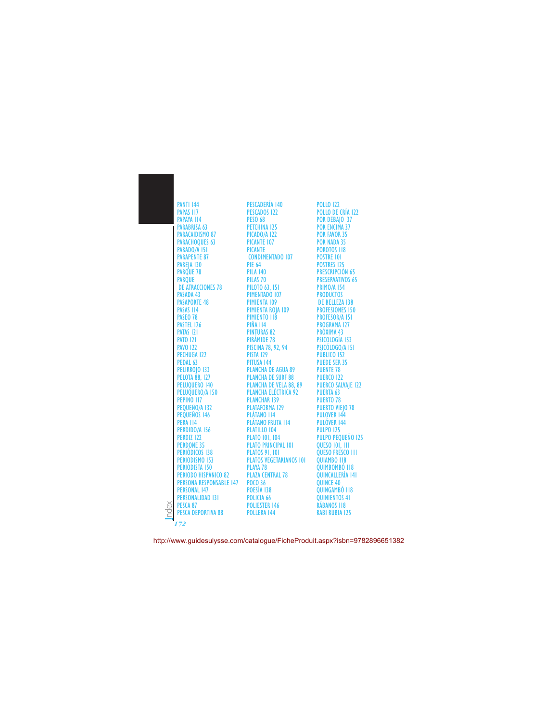PANTI 144 PAPAS 117<br>PAPAYA 114 PAPAYA 114 PARABRISA 63 PARACAIDISMO 87 PARACHOQUES 63 PARADO/A 151 PARAPENTE 87 PAREJA 130 PARQUE 78 PARQUE DE ATRACCIONES 78 PASADA 43 PASAPORTE 48 PASAS 114 PASEO 78 PASTEL 126 PATAS 121 PATO 121 PAVO 122 PECHUGA 122 PEDAL 63 PELIRROJO 133 PELOTA 88, 127 PELUQUERO 140 PELUQUERO/A 150 PEPINO 117 PEQUEÑO/A 132 PEQUEÑOS 146 PERA 114 PERDIDO/A 156 PERDIZ 122<br>PERDONE 35 PERDONE 35 PERIÓDICOS 138 PERIODISMO 153 PERIODISTA 150 PERIODO HISPÁNICO 82 PLAZA CENTRAL 78 PERSONA RESPONSABLE 147 POCO<sub>2</sub>36 PERSONAL 147 PERSONALIDAD 131 PESCA 87 PESCA DEPORTIVA 88 Index *172*

PESCADERÍA 140 PESCADOS 122 PESO 68 PETCHINA 125 PICADO/A 122 PICANTE 107 PICANTE CONDIMENTADO 107 PIE 64 PILA 140 PILAS 70 PILOTO 63, 151 PIMENTADO 107 PIMIENTA 109 PIMIENTA ROJA 109 PIMIENTO 118 PINA 114 PINTURAS 82 PIRÁMIDE 78 PISCINA 78, 92, 94 PISTA 129 PITUSA 144 PLANCHA DE AGUA 89 PLANCHA DE SURF 88 PLANCHA DE VELA 88, 89 PLANCHA ELÉCTRICA 92 PLANCHAR 139 PLATAFORMA 129 PLÁTANO 114 PLATANO FRUTA 114 PLATILLO 104 PLATO 101, 104 PLATO PRINCIPAL 101 PLATOS 91, 101 PLATOS VEGETARIANOS 101 PLAYA 78 POESÍA 138 POLICIA 66 POLIESTER 146 POLLERA 144

POLLO 122 POLLO DE CRÍA 122 POR DEBAJO 37 POR ENCIMA 37 POR FAVOR 35 POR NADA 35 POROTOS 118 POSTRE 101<br>POSTRES 125 POSTRES 125 PRESCRIPCIÓN 65 PRESERVATIVOS 65 PRIMO/A 154 PRODUCTOS DE BELLEZA 138 PROFESIONES 150 PROFESOR/A 151 PROGRAMA 127 PRÓXIMA 43 PSICOLOGÍA 153 PSICÓLOGO/A 151 PÚBLICO 152 PUEDE SER 35 PUENTE 78 PIIFR<sub>CO</sub> 177 PUERCO SALVAJE 122 PUERTA 63 PUERTO 78 PUERTO VIEJO 78 PULOVER 144 PULÓVER 144 **PULPO 125** PULPO PEQUEÑO 125 QUESO 101, 111 QUESO FRESCO 111 QUIAMBO 118 QUIMBOMBÓ 118 QUINCALLERÍA 141 QUINCE 40 QUINGAMBÓ 118 QUINIENTOS 41 RÁBANOS 118 RABI RUBIA 125

http://www.guidesulysse.com/catalogue/FicheProduit.aspx?isbn=9782896651382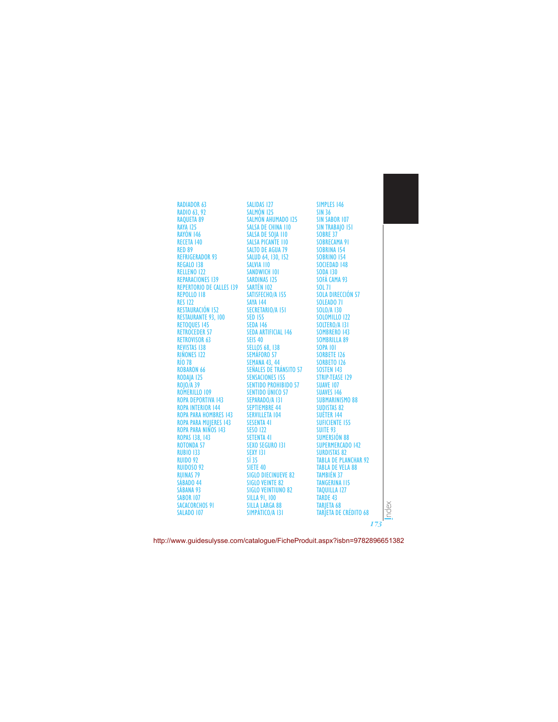RADIADOR 63 RADIO 63, 92 RAQUETA 89 RAYA 125 RAYÓN 146 RECETA 140 RED 89 REFRIGERADOR 93 REGALO 138 RELLENO 122 REPARACIONES 139 REPERTORIO DE CALLES 139 REPOLLO 118 RES 122 RESTAURACIÓN 152 RESTAURANTE 93, 100 RETOQUES 145 RETROCEDER 57 RETROVISOR 63 REVISTAS 138 RINONES 122 RÍO 78 ROBARON 66 RODAJA 125 ROJO/A 39 ROMERILLO 109 ROPA DEPORTIVA 143 ROPA INTERIOR 144 ROPA PARA HOMBRES 143 ROPA PARA MUJERES 143 ROPA PARA NINOS 143 ROPAS 138, 143 ROTONDA 57 RUBIO 133 RUIDO 92 RUIDOSO 92 RUINAS 79 SÁBADO 44 SÁBANA 93 SABOR 107 SACACORCHOS 91 SALADO 107

SALIDAS 127 SALMÓN 125 SALMÓN AHUMADO 125 SALSA DE CHINA 110 SALSA DE SOJA 110 SALSA PICANTE 110 SALTO DE AGUA 79 SALUD 64, 130, 152 SALVIA 110 SANDWICH 101 SARDINAS 125 SARTÉN 102 SATISFECHO/A 155 SAYA 144 SECRETARIO/A 151 SED 155 SEDA 146 SEDA ARTIFICIAL 146 SEIS 40 SELLOS 68, 138 SEMÁFORO 57 SEMANA 43, 44 SENALES DE TRANSITO 57 SENSACIONES 155 SENTIDO PROHIBIDO 57 SENTIDO ÚNICO 57 SEPARADO/A 131 SEPTIEMBRE 44 SERVILLETA 104 SESENTA 41 SESO 122 SETENTA 41 SEXO SEGURO 131 SEXY 131 SÍ 35 SIETE 40 SIGLO DIECINUEVE 82 SIGLO VEINTE 82 SIGLO VEINTIUNO 82 SILLA 91, 100 SILLA LARGA 88 SIMPÁTICO/A 131

SIMPLES 146 SIN 36 SIN SABOR 107 SIN TRABAJO 151 SOBRE 37 SOBRECAMA 91 SOBRINA 154 SOBRINO 154 SOCIEDAD 148 SODA 130 SOFA CAMA 93 SOL 71 SOLA DIRECCIÓN 57 SOLEADO 71 SOLO/A 130 SOLOMILLO 122 SOLTERO/A 131 SOMBRERO 143 SOMBRILLA 89 SOPA 101 SORBETE 126 SORBETO 126 SOSTEN 143 STRIP-TEASE 129 SUAVE 107 SUAVES 146 SUBMARINISMO 88 SUDISTAS 82 SUÉTER 144 SUFICIENTE 155 SUITE 93 SUMERSIÓN 88 SUPERMERCADO 142 SURDISTAS 82 TABLA DE PLANCHAR 92 TABLA DE VELA 88 TAMBIÉN 37 TANGERINA 115 TAQUILLA 127 TARDE 43 TARJETA 68 TARJETA DE CRÉDITO 68

Index

*173*